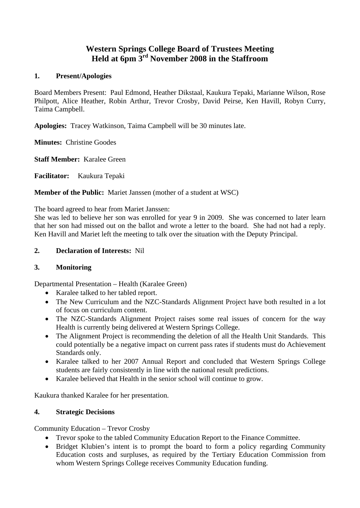# **Western Springs College Board of Trustees Meeting Held at 6pm 3rd November 2008 in the Staffroom**

### **1. Present/Apologies**

Board Members Present: Paul Edmond, Heather Dikstaal, Kaukura Tepaki, Marianne Wilson, Rose Philpott, Alice Heather, Robin Arthur, Trevor Crosby, David Peirse, Ken Havill, Robyn Curry, Taima Campbell.

**Apologies:** Tracey Watkinson, Taima Campbell will be 30 minutes late.

**Minutes:** Christine Goodes

**Staff Member:** Karalee Green

**Facilitator:** Kaukura Tepaki

**Member of the Public:** Mariet Janssen (mother of a student at WSC)

The board agreed to hear from Mariet Janssen:

She was led to believe her son was enrolled for year 9 in 2009. She was concerned to later learn that her son had missed out on the ballot and wrote a letter to the board. She had not had a reply. Ken Havill and Mariet left the meeting to talk over the situation with the Deputy Principal.

### **2. Declaration of Interests:** Nil

# **3. Monitoring**

Departmental Presentation – Health (Karalee Green)

- Karalee talked to her tabled report.
- The New Curriculum and the NZC-Standards Alignment Project have both resulted in a lot of focus on curriculum content.
- The NZC-Standards Alignment Project raises some real issues of concern for the way Health is currently being delivered at Western Springs College.
- The Alignment Project is recommending the deletion of all the Health Unit Standards. This could potentially be a negative impact on current pass rates if students must do Achievement Standards only.
- Karalee talked to her 2007 Annual Report and concluded that Western Springs College students are fairly consistently in line with the national result predictions.
- Karalee believed that Health in the senior school will continue to grow.

Kaukura thanked Karalee for her presentation.

#### **4. Strategic Decisions**

Community Education – Trevor Crosby

- Trevor spoke to the tabled Community Education Report to the Finance Committee.
- Bridget Klubien's intent is to prompt the board to form a policy regarding Community Education costs and surpluses, as required by the Tertiary Education Commission from whom Western Springs College receives Community Education funding.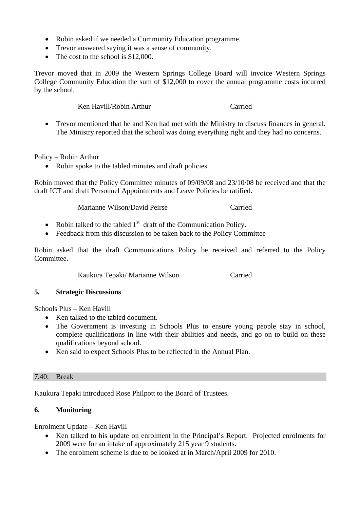- Robin asked if we needed a Community Education programme.
- Trevor answered saying it was a sense of community.
- The cost to the school is \$12,000.

Trevor moved that in 2009 the Western Springs College Board will invoice Western Springs College Community Education the sum of \$12,000 to cover the annual programme costs incurred by the school.

Ken Havill/Robin Arthur Carried

• Trevor mentioned that he and Ken had met with the Ministry to discuss finances in general. The Ministry reported that the school was doing everything right and they had no concerns.

Policy – Robin Arthur

• Robin spoke to the tabled minutes and draft policies.

Robin moved that the Policy Committee minutes of 09/09/08 and 23/10/08 be received and that the draft ICT and draft Personnel Appointments and Leave Policies be ratified.

Marianne Wilson/David Peirse Carried

- Robin talked to the tabled  $1<sup>st</sup>$  draft of the Communication Policy.
- Feedback from this discussion to be taken back to the Policy Committee

Robin asked that the draft Communications Policy be received and referred to the Policy Committee.

Kaukura Tepaki/ Marianne Wilson Carried

# **5. Strategic Discussions**

Schools Plus – Ken Havill

- Ken talked to the tabled document.
- The Government is investing in Schools Plus to ensure young people stay in school, complete qualifications in line with their abilities and needs, and go on to build on these qualifications beyond school.
- Ken said to expect Schools Plus to be reflected in the Annual Plan.

#### 7.40: Break

Kaukura Tepaki introduced Rose Philpott to the Board of Trustees.

# **6. Monitoring**

Enrolment Update – Ken Havill

- Ken talked to his update on enrolment in the Principal's Report. Projected enrolments for 2009 were for an intake of approximately 215 year 9 students.
- The enrolment scheme is due to be looked at in March/April 2009 for 2010.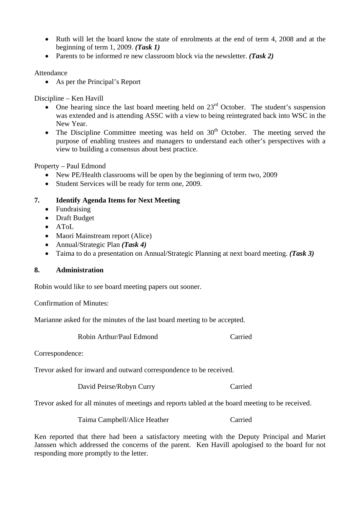- Ruth will let the board know the state of enrolments at the end of term 4, 2008 and at the beginning of term 1, 2009. *(Task 1)*
- Parents to be informed re new classroom block via the newsletter. *(Task 2)*

### Attendance

• As per the Principal's Report

Discipline – Ken Havill

- One hearing since the last board meeting held on  $23<sup>rd</sup>$  October. The student's suspension was extended and is attending ASSC with a view to being reintegrated back into WSC in the New Year.
- The Discipline Committee meeting was held on  $30<sup>th</sup>$  October. The meeting served the purpose of enabling trustees and managers to understand each other's perspectives with a view to building a consensus about best practice.

Property – Paul Edmond

- New PE/Health classrooms will be open by the beginning of term two, 2009
- Student Services will be ready for term one, 2009.

### **7. Identify Agenda Items for Next Meeting**

- Fundraising
- Draft Budget
- AToL
- Maori Mainstream report (Alice)
- Annual/Strategic Plan *(Task 4)*
- Taima to do a presentation on Annual/Strategic Planning at next board meeting. *(Task 3)*

# **8. Administration**

Robin would like to see board meeting papers out sooner.

Confirmation of Minutes:

Marianne asked for the minutes of the last board meeting to be accepted.

Robin Arthur/Paul Edmond Carried

Correspondence:

Trevor asked for inward and outward correspondence to be received.

David Peirse/Robyn Curry Carried

Trevor asked for all minutes of meetings and reports tabled at the board meeting to be received.

Taima Campbell/Alice Heather Carried

Ken reported that there had been a satisfactory meeting with the Deputy Principal and Mariet Janssen which addressed the concerns of the parent. Ken Havill apologised to the board for not responding more promptly to the letter.